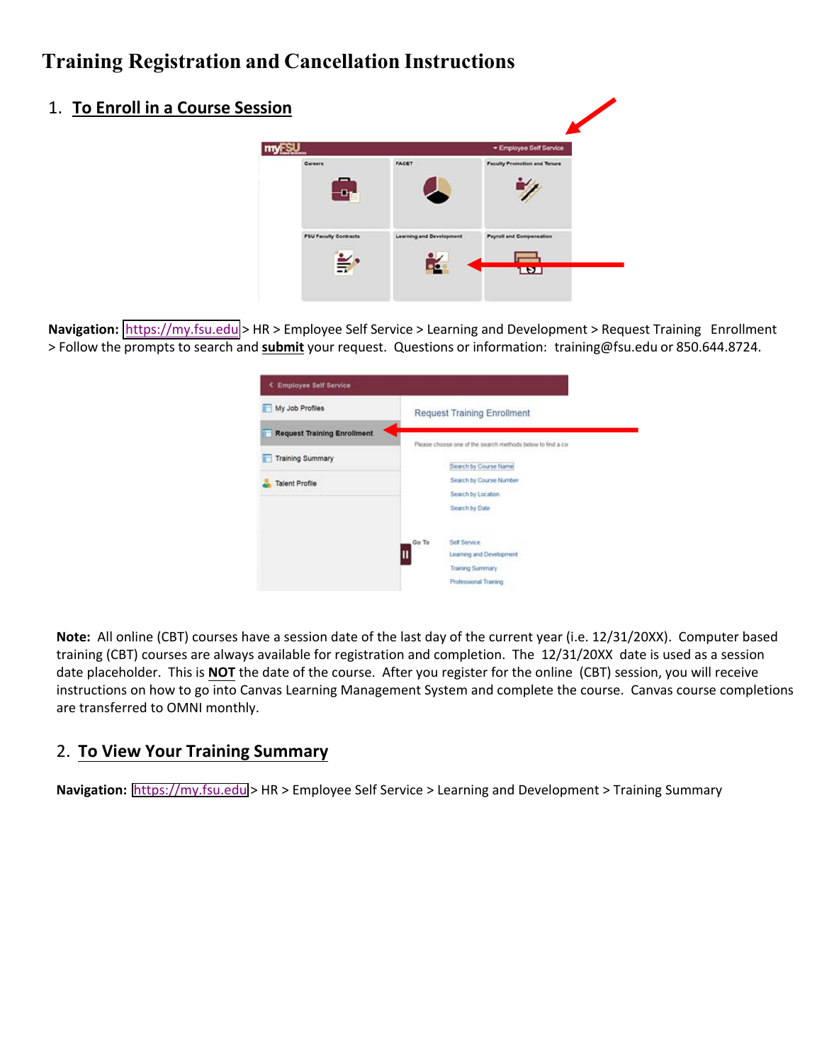## **Training Registration and Cancellation Instructions**

| 1. To Enroll in a Course Session |                                         |                                 |                                     |
|----------------------------------|-----------------------------------------|---------------------------------|-------------------------------------|
|                                  | <b>myFSU</b>                            |                                 | · Employee Self Service             |
|                                  | <b>Carsers</b>                          | FACET                           | <b>Faculty Promotion and Tenure</b> |
|                                  | <b>FSU Faculty Contracts</b><br>$\cong$ | <b>Learning and Development</b> | <b>Payroll and Compensation</b>     |

Navigation: https://[my.fsu.edu](https://my.fsu.edu) > HR > Employee Self Service > Learning and Development > Request Training Enrollment > Follow the prompts to search and **submit** your request. Questions or information: training@fsu.edu or 850.644.8724.

| My Job Profiles                    |       | <b>Request Training Enrollment</b>                                                   |
|------------------------------------|-------|--------------------------------------------------------------------------------------|
| <b>Request Training Enrollment</b> |       |                                                                                      |
| <b>Training Summary</b>            |       | Please choose one of the search methods below to find a co-<br>Search by Course Name |
| <b>Talent Profile</b>              |       | Search by Course Number                                                              |
|                                    |       | Search by Location<br>Search by Date                                                 |
|                                    | Go To | Self Service                                                                         |
|                                    |       | Learning and Development                                                             |
|                                    |       | Training Summary                                                                     |
|                                    |       | Professional Training                                                                |

**Note:** All online (CBT) courses have a session date of the last day of the current year (i.e. 12/31/20XX). Computer based training (CBT) courses are always available for registration and completion. The 12/31/20XX date is used as a session date placeholder. This is **NOT** the date of the course. After you register for the online (CBT) session, you will receive instructions on how to go into Canvas Learning Management System and complete the course. Canvas course completions are transferred to OMNI monthly.

## 2. **To View Your Training Summary**

**Navigation:** <https://my.fsu.edu>> HR > Employee Self Service > Learning and Development > Training Summary